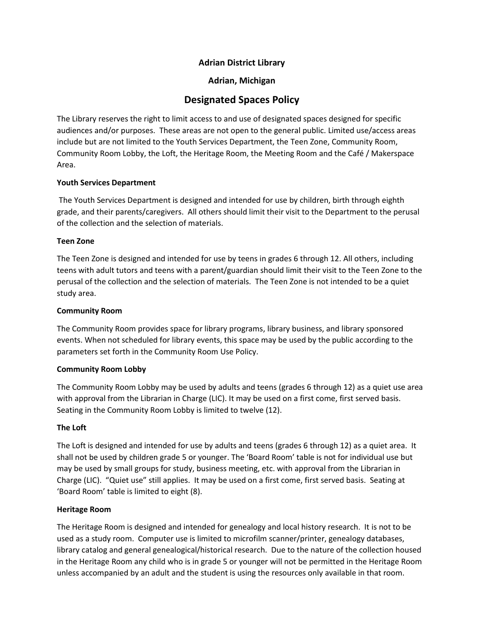# **Adrian District Library**

# **Adrian, Michigan**

# **Designated Spaces Policy**

The Library reserves the right to limit access to and use of designated spaces designed for specific audiences and/or purposes. These areas are not open to the general public. Limited use/access areas include but are not limited to the Youth Services Department, the Teen Zone, Community Room, Community Room Lobby, the Loft, the Heritage Room, the Meeting Room and the Café / Makerspace Area.

#### **Youth Services Department**

The Youth Services Department is designed and intended for use by children, birth through eighth grade, and their parents/caregivers. All others should limit their visit to the Department to the perusal of the collection and the selection of materials.

## **Teen Zone**

The Teen Zone is designed and intended for use by teens in grades 6 through 12. All others, including teens with adult tutors and teens with a parent/guardian should limit their visit to the Teen Zone to the perusal of the collection and the selection of materials. The Teen Zone is not intended to be a quiet study area.

## **Community Room**

The Community Room provides space for library programs, library business, and library sponsored events. When not scheduled for library events, this space may be used by the public according to the parameters set forth in the Community Room Use Policy.

#### **Community Room Lobby**

The Community Room Lobby may be used by adults and teens (grades 6 through 12) as a quiet use area with approval from the Librarian in Charge (LIC). It may be used on a first come, first served basis. Seating in the Community Room Lobby is limited to twelve (12).

# **The Loft**

The Loft is designed and intended for use by adults and teens (grades 6 through 12) as a quiet area. It shall not be used by children grade 5 or younger. The 'Board Room' table is not for individual use but may be used by small groups for study, business meeting, etc. with approval from the Librarian in Charge (LIC). "Quiet use" still applies. It may be used on a first come, first served basis. Seating at 'Board Room' table is limited to eight (8).

#### **Heritage Room**

The Heritage Room is designed and intended for genealogy and local history research. It is not to be used as a study room. Computer use is limited to microfilm scanner/printer, genealogy databases, library catalog and general genealogical/historical research. Due to the nature of the collection housed in the Heritage Room any child who is in grade 5 or younger will not be permitted in the Heritage Room unless accompanied by an adult and the student is using the resources only available in that room.